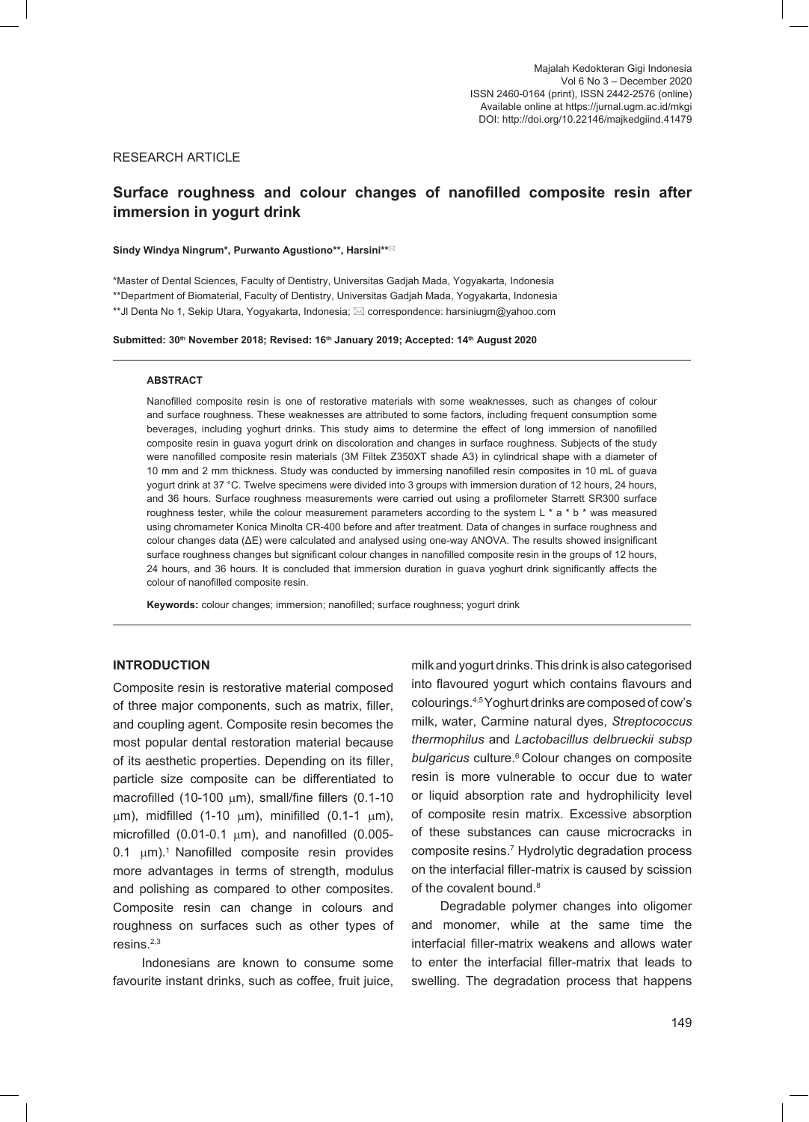# RESEARCH ARTICLE

# **Surface roughness and colour changes of nanofilled composite resin after immersion in yogurt drink**

#### **Sindy Windya Ningrum\*, Purwanto Agustiono\*\*, Harsini\*\***

\*Master of Dental Sciences, Faculty of Dentistry, Universitas Gadjah Mada, Yogyakarta, Indonesia \*\*Department of Biomaterial, Faculty of Dentistry, Universitas Gadjah Mada, Yogyakarta, Indonesia \*\*Jl Denta No 1, Sekip Utara, Yogyakarta, Indonesia;  $\boxtimes$  correspondence: harsiniugm@yahoo.com

#### Submitted: 30<sup>th</sup> November 2018; Revised: 16<sup>th</sup> January 2019; Accepted: 14<sup>th</sup> August 2020

#### **ABSTRACT**

Nanofilled composite resin is one of restorative materials with some weaknesses, such as changes of colour and surface roughness. These weaknesses are attributed to some factors, including frequent consumption some beverages, including yoghurt drinks. This study aims to determine the effect of long immersion of nanofilled composite resin in guava yogurt drink on discoloration and changes in surface roughness. Subjects of the study were nanofilled composite resin materials (3M Filtek Z350XT shade A3) in cylindrical shape with a diameter of 10 mm and 2 mm thickness. Study was conducted by immersing nanofilled resin composites in 10 mL of guava yogurt drink at 37 °C. Twelve specimens were divided into 3 groups with immersion duration of 12 hours, 24 hours, and 36 hours. Surface roughness measurements were carried out using a profilometer Starrett SR300 surface roughness tester, while the colour measurement parameters according to the system L \* a \* b \* was measured using chromameter Konica Minolta CR-400 before and after treatment. Data of changes in surface roughness and colour changes data (ΔE) were calculated and analysed using one-way ANOVA. The results showed insignificant surface roughness changes but significant colour changes in nanofilled composite resin in the groups of 12 hours, 24 hours, and 36 hours. It is concluded that immersion duration in guava yoghurt drink significantly affects the colour of nanofilled composite resin.

**Keywords:** colour changes; immersion; nanofilled; surface roughness; yogurt drink

# **INTRODUCTION**

Composite resin is restorative material composed of three major components, such as matrix, filler, and coupling agent. Composite resin becomes the most popular dental restoration material because of its aesthetic properties. Depending on its filler, particle size composite can be differentiated to macrofilled (10-100  $\mu$ m), small/fine fillers (0.1-10  $\mu$ m), midfilled (1-10  $\mu$ m), minifilled (0.1-1  $\mu$ m), microfilled (0.01-0.1  $\mu$ m), and nanofilled (0.005-0.1  $\mu$ m).<sup>1</sup> Nanofilled composite resin provides more advantages in terms of strength, modulus and polishing as compared to other composites. Composite resin can change in colours and roughness on surfaces such as other types of resins.2,3

Indonesians are known to consume some favourite instant drinks, such as coffee, fruit juice,

milk and yogurt drinks. This drink is also categorised into flavoured yogurt which contains flavours and colourings.4,5 Yoghurt drinks are composed of cow's milk, water, Carmine natural dyes, *Streptococcus thermophilus* and *Lactobacillus delbrueckii subsp bulgaricus* culture.6 Colour changes on composite resin is more vulnerable to occur due to water or liquid absorption rate and hydrophilicity level of composite resin matrix. Excessive absorption of these substances can cause microcracks in composite resins.7 Hydrolytic degradation process on the interfacial filler-matrix is caused by scission of the covalent bound.<sup>8</sup>

Degradable polymer changes into oligomer and monomer, while at the same time the interfacial filler-matrix weakens and allows water to enter the interfacial filler-matrix that leads to swelling. The degradation process that happens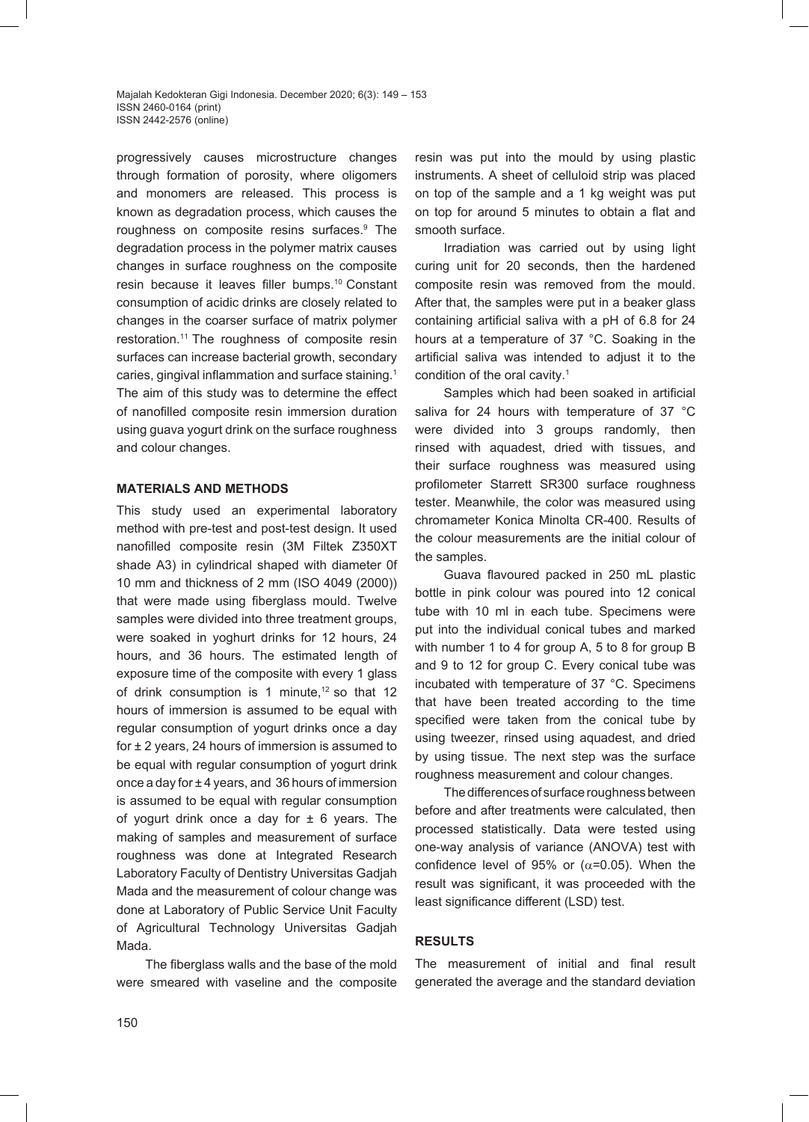Majalah Kedokteran Gigi Indonesia. December 2020; 6(3): 149 – 153 ISSN 2460-0164 (print) ISSN 2442-2576 (online)

progressively causes microstructure changes through formation of porosity, where oligomers and monomers are released. This process is known as degradation process, which causes the roughness on composite resins surfaces.<sup>9</sup> The degradation process in the polymer matrix causes changes in surface roughness on the composite resin because it leaves filler bumps.10 Constant consumption of acidic drinks are closely related to changes in the coarser surface of matrix polymer restoration.11 The roughness of composite resin surfaces can increase bacterial growth, secondary caries, gingival inflammation and surface staining.<sup>1</sup> The aim of this study was to determine the effect of nanofilled composite resin immersion duration using guava yogurt drink on the surface roughness and colour changes.

#### **MATERIALS AND METHODS**

This study used an experimental laboratory method with pre-test and post-test design. It used nanofilled composite resin (3M Filtek Z350XT shade A3) in cylindrical shaped with diameter 0f 10 mm and thickness of 2 mm (ISO 4049 (2000)) that were made using fiberglass mould. Twelve samples were divided into three treatment groups, were soaked in yoghurt drinks for 12 hours, 24 hours, and 36 hours. The estimated length of exposure time of the composite with every 1 glass of drink consumption is 1 minute, $12$  so that 12 hours of immersion is assumed to be equal with regular consumption of yogurt drinks once a day for  $\pm$  2 years, 24 hours of immersion is assumed to be equal with regular consumption of yogurt drink once a day for ± 4 years, and 36 hours of immersion is assumed to be equal with regular consumption of yogurt drink once a day for  $\pm$  6 years. The making of samples and measurement of surface roughness was done at Integrated Research Laboratory Faculty of Dentistry Universitas Gadjah Mada and the measurement of colour change was done at Laboratory of Public Service Unit Faculty of Agricultural Technology Universitas Gadjah Mada.

The fiberglass walls and the base of the mold were smeared with vaseline and the composite

resin was put into the mould by using plastic instruments. A sheet of celluloid strip was placed on top of the sample and a 1 kg weight was put on top for around 5 minutes to obtain a flat and smooth surface.

Irradiation was carried out by using light curing unit for 20 seconds, then the hardened composite resin was removed from the mould. After that, the samples were put in a beaker glass containing artificial saliva with a pH of 6.8 for 24 hours at a temperature of 37 °C. Soaking in the artificial saliva was intended to adjust it to the condition of the oral cavity.1

Samples which had been soaked in artificial saliva for 24 hours with temperature of 37 °C were divided into 3 groups randomly, then rinsed with aquadest, dried with tissues, and their surface roughness was measured using profilometer Starrett SR300 surface roughness tester. Meanwhile, the color was measured using chromameter Konica Minolta CR-400. Results of the colour measurements are the initial colour of the samples.

Guava flavoured packed in 250 mL plastic bottle in pink colour was poured into 12 conical tube with 10 ml in each tube. Specimens were put into the individual conical tubes and marked with number 1 to 4 for group A, 5 to 8 for group B and 9 to 12 for group C. Every conical tube was incubated with temperature of 37 °C. Specimens that have been treated according to the time specified were taken from the conical tube by using tweezer, rinsed using aquadest, and dried by using tissue. The next step was the surface roughness measurement and colour changes.

The differences of surface roughness between before and after treatments were calculated, then processed statistically. Data were tested using one-way analysis of variance (ANOVA) test with confidence level of 95% or ( $\alpha$ =0.05). When the result was significant, it was proceeded with the least significance different (LSD) test.

# **RESULTS**

The measurement of initial and final result generated the average and the standard deviation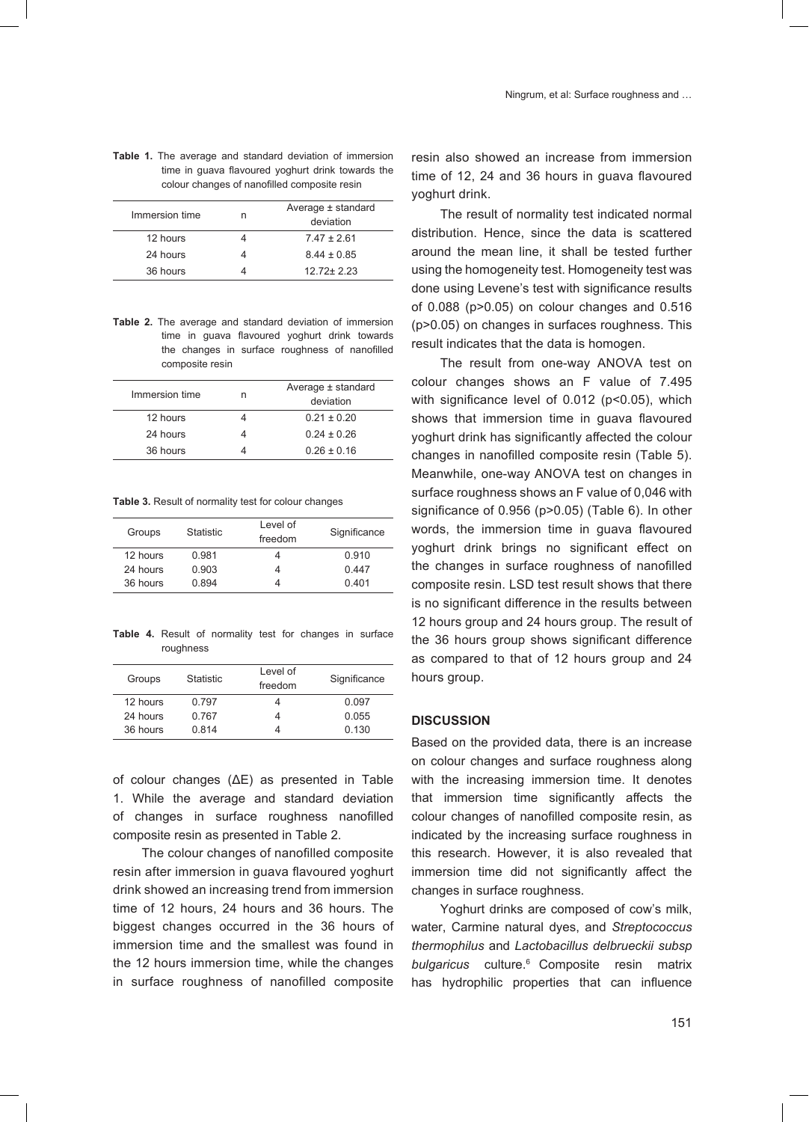**Table 1.** The average and standard deviation of immersion time in guava flavoured yoghurt drink towards the colour changes of nanofilled composite resin

| Immersion time |          | n | Average ± standard<br>deviation |
|----------------|----------|---|---------------------------------|
|                | 12 hours |   | $7.47 \pm 2.61$                 |
|                | 24 hours |   | $8.44 \pm 0.85$                 |
|                | 36 hours |   | $1272+223$                      |
|                |          |   |                                 |

**Table 2.** The average and standard deviation of immersion time in guava flavoured yoghurt drink towards the changes in surface roughness of nanofilled composite resin

| Immersion time | n | Average ± standard<br>deviation |
|----------------|---|---------------------------------|
| 12 hours       |   | $0.21 \pm 0.20$                 |
| 24 hours       |   | $0.24 \pm 0.26$                 |
| 36 hours       |   | $0.26 \pm 0.16$                 |

**Table 3.** Result of normality test for colour changes

| Groups   | <b>Statistic</b> | Level of<br>freedom | Significance |
|----------|------------------|---------------------|--------------|
| 12 hours | 0.981            |                     | 0.910        |
| 24 hours | 0.903            |                     | 0.447        |
| 36 hours | 0.894            |                     | 0.401        |

**Table 4.** Result of normality test for changes in surface roughness

| Groups   | <b>Statistic</b> | Level of<br>freedom | Significance |
|----------|------------------|---------------------|--------------|
| 12 hours | 0.797            |                     | 0.097        |
| 24 hours | 0.767            |                     | 0.055        |
| 36 hours | 0.814            |                     | 0.130        |

of colour changes (ΔE) as presented in Table 1. While the average and standard deviation of changes in surface roughness nanofilled composite resin as presented in Table 2.

The colour changes of nanofilled composite resin after immersion in guava flavoured yoghurt drink showed an increasing trend from immersion time of 12 hours, 24 hours and 36 hours. The biggest changes occurred in the 36 hours of immersion time and the smallest was found in the 12 hours immersion time, while the changes in surface roughness of nanofilled composite

resin also showed an increase from immersion time of 12, 24 and 36 hours in guava flavoured yoghurt drink.

The result of normality test indicated normal distribution. Hence, since the data is scattered around the mean line, it shall be tested further using the homogeneity test. Homogeneity test was done using Levene's test with significance results of 0.088 (p>0.05) on colour changes and 0.516 (p>0.05) on changes in surfaces roughness. This result indicates that the data is homogen.

The result from one-way ANOVA test on colour changes shows an F value of 7.495 with significance level of 0.012 (p<0.05), which shows that immersion time in guava flavoured yoghurt drink has significantly affected the colour changes in nanofilled composite resin (Table 5). Meanwhile, one-way ANOVA test on changes in surface roughness shows an F value of 0,046 with significance of 0.956 (p>0.05) (Table 6). In other words, the immersion time in guava flavoured yoghurt drink brings no significant effect on the changes in surface roughness of nanofilled composite resin. LSD test result shows that there is no significant difference in the results between 12 hours group and 24 hours group. The result of the 36 hours group shows significant difference as compared to that of 12 hours group and 24 hours group.

#### **DISCUSSION**

Based on the provided data, there is an increase on colour changes and surface roughness along with the increasing immersion time. It denotes that immersion time significantly affects the colour changes of nanofilled composite resin, as indicated by the increasing surface roughness in this research. However, it is also revealed that immersion time did not significantly affect the changes in surface roughness.

Yoghurt drinks are composed of cow's milk, water, Carmine natural dyes, and *Streptococcus thermophilus* and *Lactobacillus delbrueckii subsp bulgaricus* culture.6 Composite resin matrix has hydrophilic properties that can influence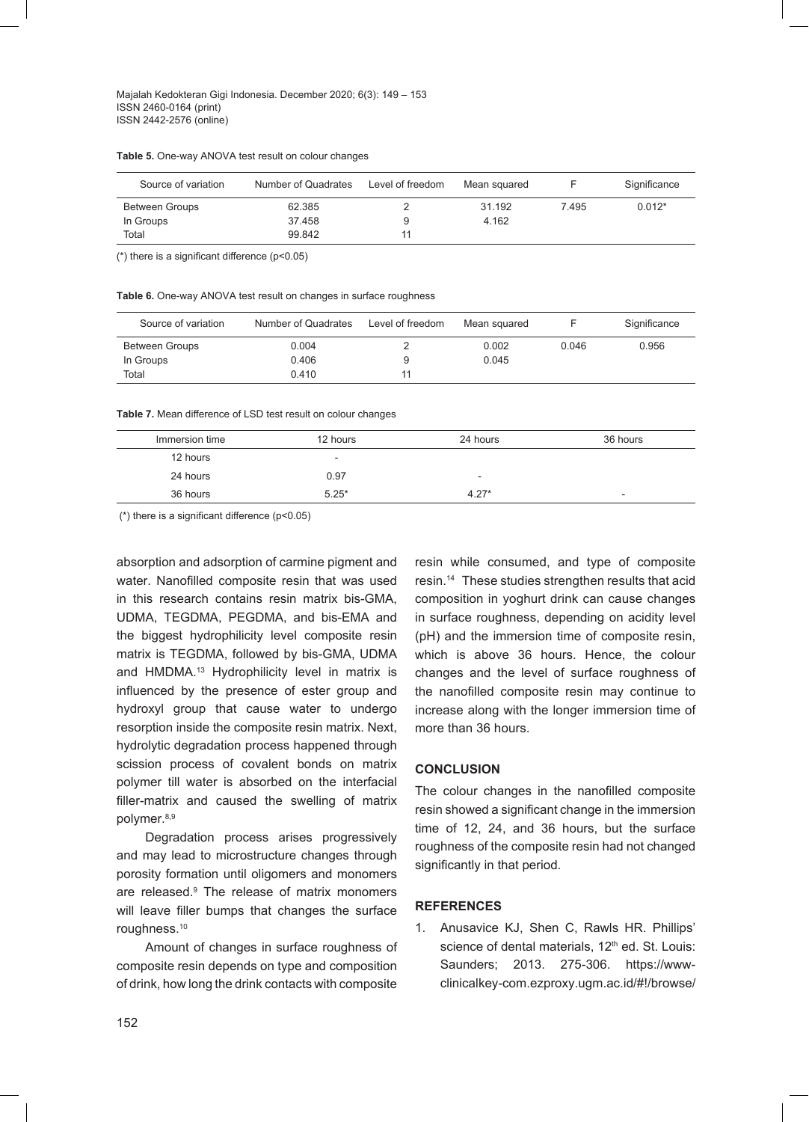Majalah Kedokteran Gigi Indonesia. December 2020; 6(3): 149 – 153 ISSN 2460-0164 (print) ISSN 2442-2576 (online)

**Table 5.** One-way ANOVA test result on colour changes

| Source of variation | Number of Quadrates | Level of freedom | Mean squared |       | Significance |
|---------------------|---------------------|------------------|--------------|-------|--------------|
| Between Groups      | 62.385              |                  | 31.192       | 7.495 | $0.012*$     |
| In Groups           | 37.458              | 9                | 4.162        |       |              |
| Total               | 99.842              |                  |              |       |              |

(\*) there is a significant difference (p<0.05)

| Table 6. One-way ANOVA test result on changes in surface roughness |  |  |
|--------------------------------------------------------------------|--|--|
|--------------------------------------------------------------------|--|--|

| Source of variation   | Number of Quadrates | Level of freedom | Mean squared |       | Significance |
|-----------------------|---------------------|------------------|--------------|-------|--------------|
| <b>Between Groups</b> | 0.004               |                  | 0.002        | 0.046 | 0.956        |
| In Groups             | 0.406               |                  | 0.045        |       |              |
| Total                 | 0.410               |                  |              |       |              |

**Table 7.** Mean difference of LSD test result on colour changes

| Immersion time | 12 hours                 | 24 hours                 | 36 hours                 |
|----------------|--------------------------|--------------------------|--------------------------|
| 12 hours       | $\overline{\phantom{a}}$ |                          |                          |
| 24 hours       | 0.97                     | $\overline{\phantom{a}}$ |                          |
| 36 hours       | $5.25*$                  | $4.27*$                  | $\overline{\phantom{a}}$ |

(\*) there is a significant difference (p<0.05)

absorption and adsorption of carmine pigment and water. Nanofilled composite resin that was used in this research contains resin matrix bis-GMA, UDMA, TEGDMA, PEGDMA, and bis-EMA and the biggest hydrophilicity level composite resin matrix is TEGDMA, followed by bis-GMA, UDMA and HMDMA.<sup>13</sup> Hydrophilicity level in matrix is influenced by the presence of ester group and hydroxyl group that cause water to undergo resorption inside the composite resin matrix. Next, hydrolytic degradation process happened through scission process of covalent bonds on matrix polymer till water is absorbed on the interfacial filler-matrix and caused the swelling of matrix polymer.<sup>8,9</sup>

Degradation process arises progressively and may lead to microstructure changes through porosity formation until oligomers and monomers are released.9 The release of matrix monomers will leave filler bumps that changes the surface roughness.10

Amount of changes in surface roughness of composite resin depends on type and composition of drink, how long the drink contacts with composite

resin while consumed, and type of composite resin.14 These studies strengthen results that acid composition in yoghurt drink can cause changes in surface roughness, depending on acidity level (pH) and the immersion time of composite resin, which is above 36 hours. Hence, the colour changes and the level of surface roughness of the nanofilled composite resin may continue to increase along with the longer immersion time of more than 36 hours.

# **CONCLUSION**

The colour changes in the nanofilled composite resin showed a significant change in the immersion time of 12, 24, and 36 hours, but the surface roughness of the composite resin had not changed significantly in that period.

#### **REFERENCES**

1. Anusavice KJ, Shen C, Rawls HR. Phillips' science of dental materials, 12<sup>th</sup> ed. St. Louis: Saunders; 2013. 275-306. https://wwwclinicalkey-com.ezproxy.ugm.ac.id/#!/browse/